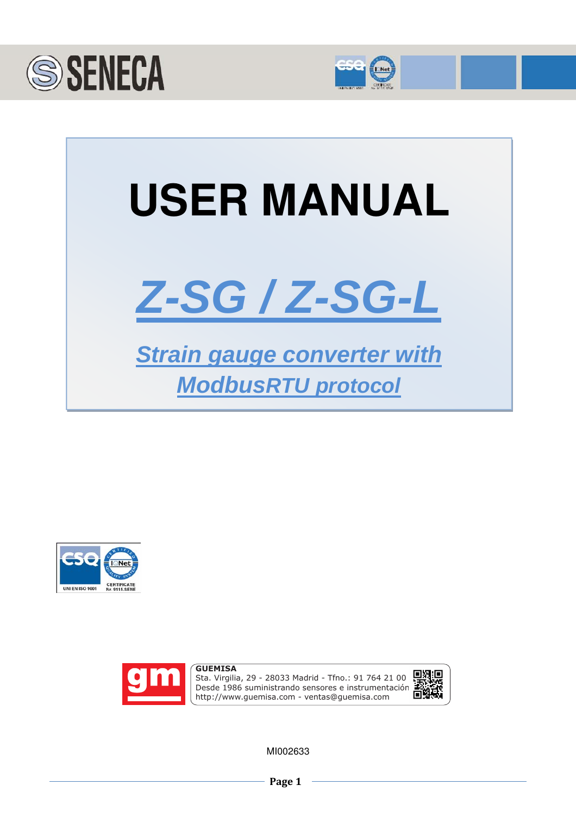









Sta. Virgilia, 29 - 28033 Madrid - Tfno.: 91 764 21 00 Desde 1986 suministrando sensores e instrumentación. http://www.guemisa.com - ventas@guemisa.com



MI002633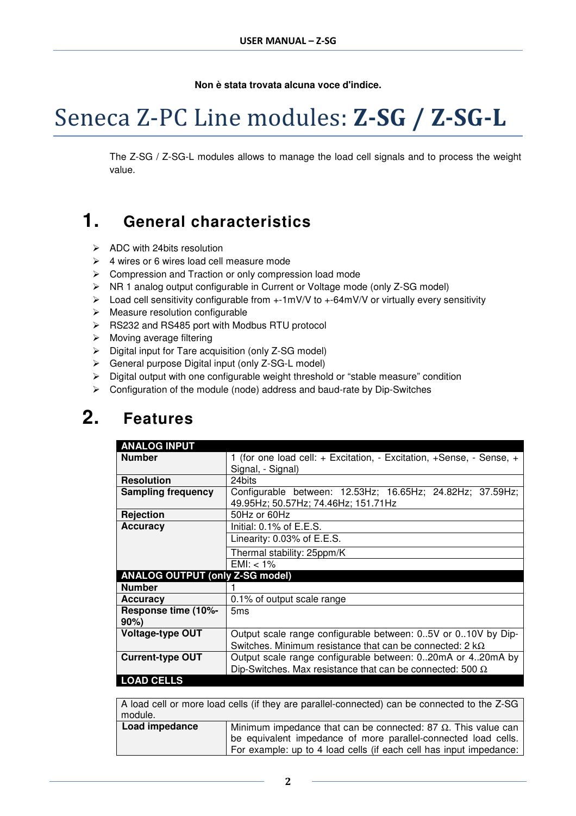**Non è stata trovata alcuna voce d'indice.**

# Seneca Z-PC Line modules: **Z-SG / Z-SG-L**

The Z-SG / Z-SG-L modules allows to manage the load cell signals and to process the weight value.

### **1. General characteristics**

- $\triangleright$  ADC with 24 bits resolution
- $\geq 4$  wires or 6 wires load cell measure mode
- Compression and Traction or only compression load mode
- NR 1 analog output configurable in Current or Voltage mode (only Z-SG model)
- $\triangleright$  Load cell sensitivity configurable from  $+1mV/V$  to  $+64mV/V$  or virtually every sensitivity
- $\triangleright$  Measure resolution configurable
- RS232 and RS485 port with Modbus RTU protocol
- $\triangleright$  Moving average filtering
- $\triangleright$  Digital input for Tare acquisition (only Z-SG model)
- General purpose Digital input (only Z-SG-L model)
- $\triangleright$  Digital output with one configurable weight threshold or "stable measure" condition
- Configuration of the module (node) address and baud-rate by Dip-Switches

### **2. Features**

| <b>ANALOG INPUT</b>                    |                                                                      |
|----------------------------------------|----------------------------------------------------------------------|
| <b>Number</b>                          | 1 (for one load cell: + Excitation, - Excitation, +Sense, - Sense, + |
|                                        | Signal, - Signal)                                                    |
| <b>Resolution</b>                      | 24bits                                                               |
| <b>Sampling frequency</b>              | Configurable between: 12.53Hz; 16.65Hz; 24.82Hz; 37.59Hz;            |
|                                        | 49.95Hz; 50.57Hz; 74.46Hz; 151.71Hz                                  |
| <b>Rejection</b>                       | 50Hz or 60Hz                                                         |
| <b>Accuracy</b>                        | Initial: $0.1\%$ of E.E.S.                                           |
|                                        | Linearity: 0.03% of E.E.S.                                           |
|                                        | Thermal stability: 25ppm/K                                           |
|                                        | EMI: $< 1\%$                                                         |
| <b>ANALOG OUTPUT (only Z-SG model)</b> |                                                                      |
| <b>Number</b>                          |                                                                      |
| <b>Accuracy</b>                        | 0.1% of output scale range                                           |
| Response time (10%-                    | 5 <sub>ms</sub>                                                      |
| $90\%$                                 |                                                                      |
| <b>Voltage-type OUT</b>                | Output scale range configurable between: 05V or 010V by Dip-         |
|                                        | Switches. Minimum resistance that can be connected: 2 $k\Omega$      |
| <b>Current-type OUT</b>                | Output scale range configurable between: 020mA or 420mA by           |
|                                        | Dip-Switches. Max resistance that can be connected: 500 $\Omega$     |
| <b>LOAD CELLS</b>                      |                                                                      |

| A load cell or more load cells (if they are parallel-connected) can be connected to the Z-SG |                                                                                                                                                                                                               |  |  |  |  |  |  |
|----------------------------------------------------------------------------------------------|---------------------------------------------------------------------------------------------------------------------------------------------------------------------------------------------------------------|--|--|--|--|--|--|
| module.                                                                                      |                                                                                                                                                                                                               |  |  |  |  |  |  |
| Load impedance                                                                               | Minimum impedance that can be connected: 87 $\Omega$ . This value can<br>be equivalent impedance of more parallel-connected load cells.<br>For example: up to 4 load cells (if each cell has input impedance: |  |  |  |  |  |  |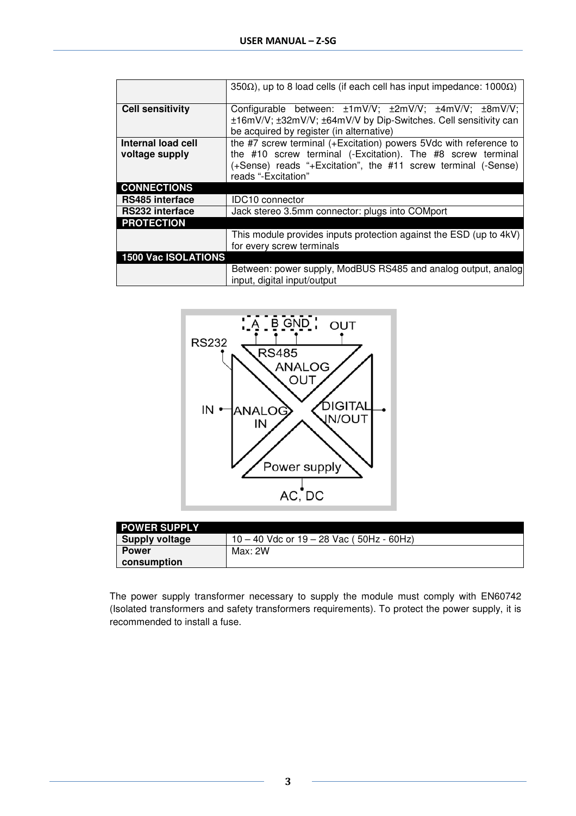|                            | 350 $\Omega$ ), up to 8 load cells (if each cell has input impedance: 1000 $\Omega$ )                                                                                |  |  |  |  |  |
|----------------------------|----------------------------------------------------------------------------------------------------------------------------------------------------------------------|--|--|--|--|--|
| <b>Cell sensitivity</b>    | Configurable between: ±1mV/V; ±2mV/V; ±4mV/V; ±8mV/V;<br>±16mV/V; ±32mV/V; ±64mV/V by Dip-Switches. Cell sensitivity can<br>be acquired by register (in alternative) |  |  |  |  |  |
| Internal load cell         | the #7 screw terminal (+Excitation) powers 5Vdc with reference to                                                                                                    |  |  |  |  |  |
| voltage supply             | the #10 screw terminal (-Excitation). The #8 screw terminal                                                                                                          |  |  |  |  |  |
|                            | (+Sense) reads "+Excitation", the #11 screw terminal (-Sense)                                                                                                        |  |  |  |  |  |
|                            | reads "-Excitation"                                                                                                                                                  |  |  |  |  |  |
| <b>CONNECTIONS</b>         |                                                                                                                                                                      |  |  |  |  |  |
| <b>RS485</b> interface     | <b>IDC10</b> connector                                                                                                                                               |  |  |  |  |  |
| <b>RS232 interface</b>     | Jack stereo 3.5mm connector: plugs into COMport                                                                                                                      |  |  |  |  |  |
| <b>PROTECTION</b>          |                                                                                                                                                                      |  |  |  |  |  |
|                            | This module provides inputs protection against the ESD (up to 4kV)                                                                                                   |  |  |  |  |  |
|                            | for every screw terminals                                                                                                                                            |  |  |  |  |  |
| <b>1500 Vac ISOLATIONS</b> |                                                                                                                                                                      |  |  |  |  |  |
|                            | Between: power supply, ModBUS RS485 and analog output, analog<br>input, digital input/output                                                                         |  |  |  |  |  |



| <b>POWER SUPPLY</b>   |                                              |
|-----------------------|----------------------------------------------|
| <b>Supply voltage</b> | $10 - 40$ Vdc or $19 - 28$ Vac (50Hz - 60Hz) |
| <b>Power</b>          | Max: 2W                                      |
| consumption           |                                              |

The power supply transformer necessary to supply the module must comply with EN60742 (Isolated transformers and safety transformers requirements). To protect the power supply, it is recommended to install a fuse.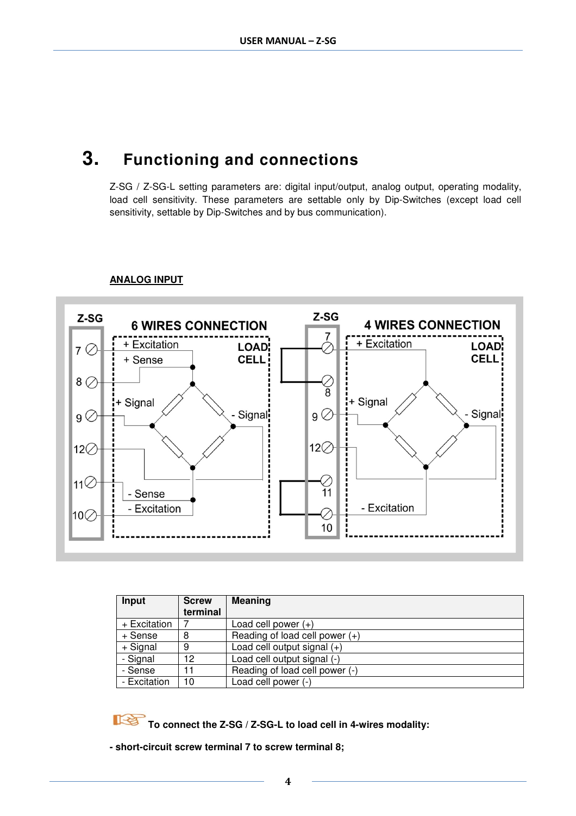### **3. Functioning and connections**

Z-SG / Z-SG-L setting parameters are: digital input/output, analog output, operating modality, load cell sensitivity. These parameters are settable only by Dip-Switches (except load cell sensitivity, settable by Dip-Switches and by bus communication).



#### **ANALOG INPUT**

| Input        | <b>Screw</b> | <b>Meaning</b>                   |
|--------------|--------------|----------------------------------|
|              | terminal     |                                  |
| + Excitation |              | Load cell power $(+)$            |
| + Sense      |              | Reading of load cell power $(+)$ |
| + Signal     |              | Load cell output signal $(+)$    |
| - Signal     | 12           | Load cell output signal (-)      |
| - Sense      | 11           | Reading of load cell power (-)   |
| - Excitation | 10           | Load cell power (-)              |

To connect the Z-SG / Z-SG-L to load cell in 4-wires modality:

**- short-circuit screw terminal 7 to screw terminal 8;**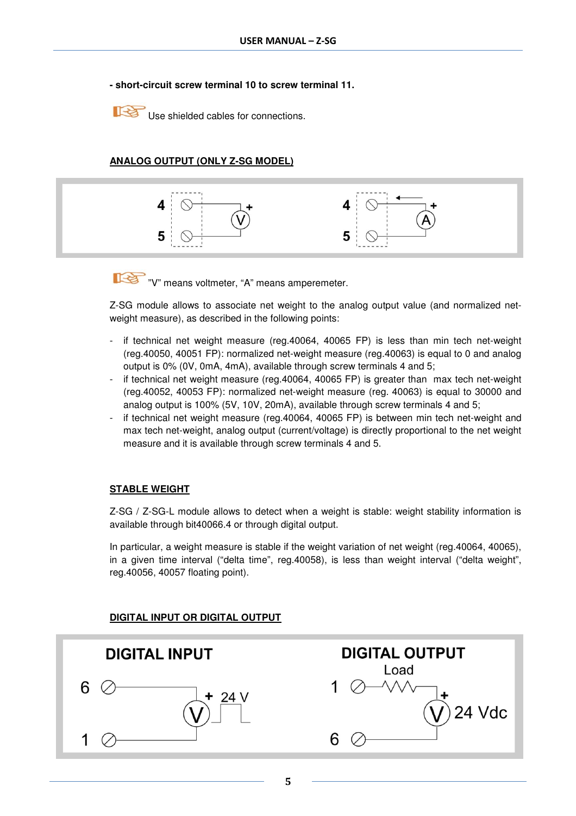#### **- short-circuit screw terminal 10 to screw terminal 11.**

Use shielded cables for connections.

### **ANALOG OUTPUT (ONLY Z-SG MODEL)**



"V" means voltmeter, "A" means amperemeter.

Z-SG module allows to associate net weight to the analog output value (and normalized netweight measure), as described in the following points:

- if technical net weight measure (reg.40064, 40065 FP) is less than min tech net-weight (reg.40050, 40051 FP): normalized net-weight measure (reg.40063) is equal to 0 and analog output is 0% (0V, 0mA, 4mA), available through screw terminals 4 and 5;
- if technical net weight measure (reg.40064, 40065 FP) is greater than max tech net-weight (reg.40052, 40053 FP): normalized net-weight measure (reg. 40063) is equal to 30000 and analog output is 100% (5V, 10V, 20mA), available through screw terminals 4 and 5;
- if technical net weight measure (reg.40064, 40065 FP) is between min tech net-weight and max tech net-weight, analog output (current/voltage) is directly proportional to the net weight measure and it is available through screw terminals 4 and 5.

#### **STABLE WEIGHT**

Z-SG / Z-SG-L module allows to detect when a weight is stable: weight stability information is available through bit40066.4 or through digital output.

In particular, a weight measure is stable if the weight variation of net weight (reg.40064, 40065), in a given time interval ("delta time", reg.40058), is less than weight interval ("delta weight", reg.40056, 40057 floating point).

### **DIGITAL INPUT OR DIGITAL OUTPUT**

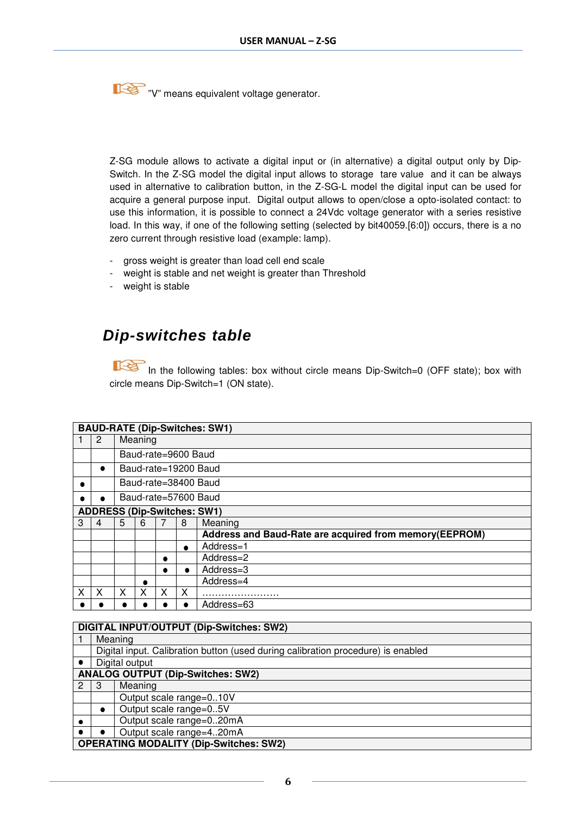**THE T**"V" means equivalent voltage generator.

Z-SG module allows to activate a digital input or (in alternative) a digital output only by Dip-Switch. In the Z-SG model the digital input allows to storage tare value and it can be always used in alternative to calibration button, in the Z-SG-L model the digital input can be used for acquire a general purpose input. Digital output allows to open/close a opto-isolated contact: to use this information, it is possible to connect a 24Vdc voltage generator with a series resistive load. In this way, if one of the following setting (selected by bit40059.[6:0]) occurs, there is a no zero current through resistive load (example: lamp).

- gross weight is greater than load cell end scale
- weight is stable and net weight is greater than Threshold
- weight is stable

### **Dip-switches table**

In the following tables: box without circle means Dip-Switch=0 (OFF state); box with circle means Dip-Switch=1 (ON state).

|   |           |   |                      |   |           | <b>BAUD-RATE (Dip-Switches: SW1)</b>                   |  |  |  |
|---|-----------|---|----------------------|---|-----------|--------------------------------------------------------|--|--|--|
|   | 2         |   | Meaning              |   |           |                                                        |  |  |  |
|   |           |   | Baud-rate=9600 Baud  |   |           |                                                        |  |  |  |
|   | $\bullet$ |   | Baud-rate=19200 Baud |   |           |                                                        |  |  |  |
|   |           |   |                      |   |           | Baud-rate=38400 Baud                                   |  |  |  |
|   |           |   |                      |   |           | Baud-rate=57600 Baud                                   |  |  |  |
|   |           |   |                      |   |           | <b>ADDRESS (Dip-Switches: SW1)</b>                     |  |  |  |
| 3 | 4         | 5 | 6<br>8<br>Meaning    |   |           |                                                        |  |  |  |
|   |           |   |                      |   |           | Address and Baud-Rate are acquired from memory(EEPROM) |  |  |  |
|   |           |   |                      |   | $\bullet$ | Address=1                                              |  |  |  |
|   |           |   |                      |   |           | Address=2                                              |  |  |  |
|   |           |   |                      | ٠ | $\bullet$ | Address=3                                              |  |  |  |
|   |           |   |                      |   |           | Address=4                                              |  |  |  |
| x | x         | X |                      | x | x         | .                                                      |  |  |  |
|   |           |   |                      |   | ٠         | Address=63                                             |  |  |  |

### **DIGITAL INPUT/OUTPUT (Dip-Switches: SW2)**

|           |                                               | Meaning                                                                          |  |  |  |
|-----------|-----------------------------------------------|----------------------------------------------------------------------------------|--|--|--|
|           |                                               | Digital input. Calibration button (used during calibration procedure) is enabled |  |  |  |
|           |                                               | Digital output                                                                   |  |  |  |
|           | <b>ANALOG OUTPUT (Dip-Switches: SW2)</b>      |                                                                                  |  |  |  |
| 2         | 3                                             | Meaning                                                                          |  |  |  |
|           |                                               | Output scale range=010V                                                          |  |  |  |
|           | $\bullet$                                     | Output scale range=05V                                                           |  |  |  |
| $\bullet$ | Output scale range=020mA                      |                                                                                  |  |  |  |
|           | Output scale range=420mA                      |                                                                                  |  |  |  |
|           | <b>OPERATING MODALITY (Dip-Switches: SW2)</b> |                                                                                  |  |  |  |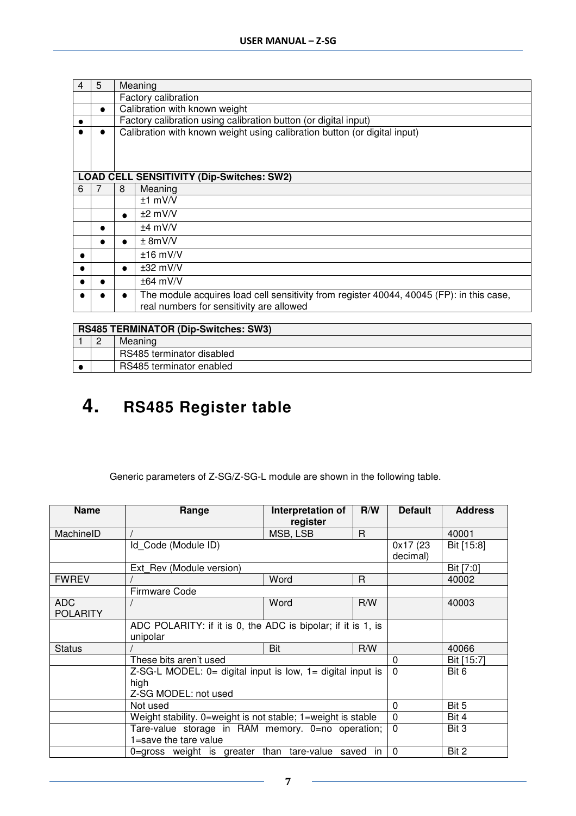| $\overline{4}$ | 5         | Meaning |                                                                                                                                      |  |  |  |
|----------------|-----------|---------|--------------------------------------------------------------------------------------------------------------------------------------|--|--|--|
|                |           |         | Factory calibration                                                                                                                  |  |  |  |
|                | $\bullet$ |         | Calibration with known weight                                                                                                        |  |  |  |
|                |           |         | Factory calibration using calibration button (or digital input)                                                                      |  |  |  |
|                |           |         | Calibration with known weight using calibration button (or digital input)                                                            |  |  |  |
|                |           |         |                                                                                                                                      |  |  |  |
|                |           |         |                                                                                                                                      |  |  |  |
|                |           |         |                                                                                                                                      |  |  |  |
|                |           |         | <b>LOAD CELL SENSITIVITY (Dip-Switches: SW2)</b>                                                                                     |  |  |  |
| 6              |           | 8       | Meaning                                                                                                                              |  |  |  |
|                |           |         | $±1$ mV/V                                                                                                                            |  |  |  |
|                |           | ٠       | $±2$ mV/V                                                                                                                            |  |  |  |
|                |           |         | $±4$ mV/V                                                                                                                            |  |  |  |
|                |           | ٠       | ± 8mV/V                                                                                                                              |  |  |  |
|                |           |         | $±16$ mV/V                                                                                                                           |  |  |  |
|                |           | ٠       | $±32$ mV/V                                                                                                                           |  |  |  |
|                |           |         | $\pm 64$ mV/V                                                                                                                        |  |  |  |
|                |           |         | The module acquires load cell sensitivity from register 40044, 40045 (FP): in this case,<br>real numbers for sensitivity are allowed |  |  |  |
|                |           |         |                                                                                                                                      |  |  |  |

| <b>RS485 TERMINATOR (Dip-Switches: SW3)</b> |                           |  |  |  |
|---------------------------------------------|---------------------------|--|--|--|
|                                             | Meaning                   |  |  |  |
|                                             | RS485 terminator disabled |  |  |  |
| RS485 terminator enabled                    |                           |  |  |  |

# **4. RS485 Register table**

Generic parameters of Z-SG/Z-SG-L module are shown in the following table.

| <b>Name</b>                   | Range                                                                                            | Interpretation of<br>register | R/W | <b>Default</b>        | <b>Address</b> |
|-------------------------------|--------------------------------------------------------------------------------------------------|-------------------------------|-----|-----------------------|----------------|
| MachinelD                     |                                                                                                  | MSB, LSB                      | R.  |                       | 40001          |
|                               | Id Code (Module ID)                                                                              |                               |     | 0x17 (23)<br>decimal) | Bit [15:8]     |
|                               | Ext Rev (Module version)                                                                         |                               |     |                       | Bit [7:0]      |
| <b>FWREV</b>                  |                                                                                                  | Word                          | R.  |                       | 40002          |
|                               | Firmware Code                                                                                    |                               |     |                       |                |
| <b>ADC</b><br><b>POLARITY</b> |                                                                                                  | Word                          | R/W |                       | 40003          |
|                               | ADC POLARITY: if it is 0, the ADC is bipolar; if it is 1, is<br>unipolar                         |                               |     |                       |                |
| <b>Status</b>                 |                                                                                                  | Bit                           | R/W |                       | 40066          |
|                               | These bits aren't used                                                                           |                               |     | 0                     | Bit [15:7]     |
|                               | $Z-SG-L$ MODEL: $0=$ digital input is low, $1=$ digital input is<br>high<br>Z-SG MODEL: not used |                               |     | $\mathbf{0}$          | Bit 6          |
|                               | Not used                                                                                         |                               |     | 0                     | Bit 5          |
|                               | Weight stability. 0=weight is not stable; 1=weight is stable                                     |                               |     | $\mathbf{0}$          | Bit 4          |
|                               | Tare-value storage in RAM memory. 0=no operation;<br>1=save the tare value                       |                               |     | $\Omega$              | Bit 3          |
|                               | 0=gross weight is greater than tare-value saved in                                               |                               |     | $\Omega$              | Bit 2          |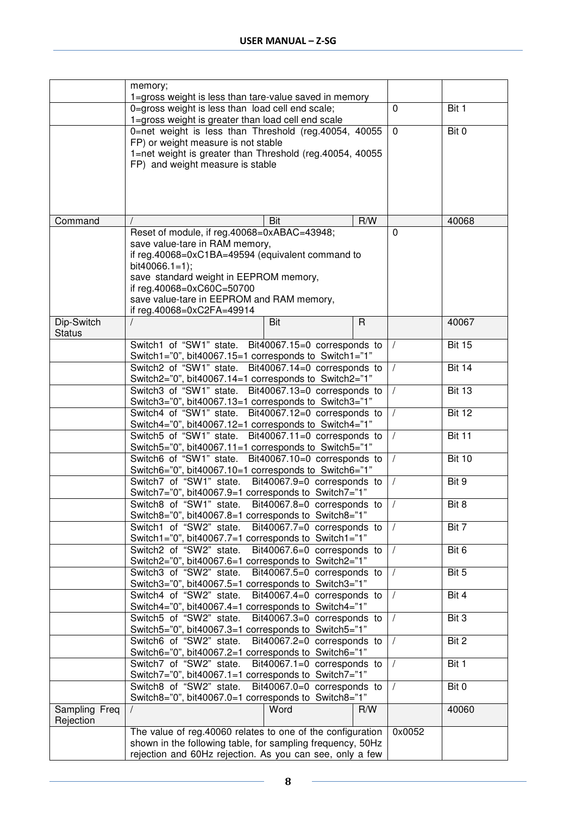|                            | memory;                                                                                                          |             |                    |
|----------------------------|------------------------------------------------------------------------------------------------------------------|-------------|--------------------|
|                            | 1=gross weight is less than tare-value saved in memory<br>0=gross weight is less than load cell end scale;       | $\mathbf 0$ | Bit 1              |
|                            | 1=gross weight is greater than load cell end scale                                                               |             |                    |
|                            | 0=net weight is less than Threshold (reg.40054, 40055                                                            | $\mathbf 0$ | Bit 0              |
|                            | FP) or weight measure is not stable                                                                              |             |                    |
|                            | 1=net weight is greater than Threshold (reg.40054, 40055                                                         |             |                    |
|                            | FP) and weight measure is stable                                                                                 |             |                    |
|                            |                                                                                                                  |             |                    |
|                            |                                                                                                                  |             |                    |
|                            |                                                                                                                  |             |                    |
| Command                    | R/W<br>Bit                                                                                                       |             | 40068              |
|                            | Reset of module, if reg.40068=0xABAC=43948;<br>save value-tare in RAM memory,                                    | $\Omega$    |                    |
|                            | if reg.40068=0xC1BA=49594 (equivalent command to                                                                 |             |                    |
|                            | bit40066.1=1);                                                                                                   |             |                    |
|                            | save standard weight in EEPROM memory,                                                                           |             |                    |
|                            | if reg.40068=0xC60C=50700                                                                                        |             |                    |
|                            | save value-tare in EEPROM and RAM memory,<br>if reg.40068=0xC2FA=49914                                           |             |                    |
| Dip-Switch                 | Bit<br>R                                                                                                         |             | 40067              |
| <b>Status</b>              |                                                                                                                  |             |                    |
|                            | Switch1 of "SW1" state.<br>Bit40067.15=0 corresponds to                                                          | $\sqrt{ }$  | <b>Bit 15</b>      |
|                            | Switch1="0", bit40067.15=1 corresponds to Switch1="1"                                                            |             |                    |
|                            | Switch2 of "SW1" state.<br>Bit40067.14=0 corresponds to                                                          |             | <b>Bit 14</b>      |
|                            | Switch2="0", bit40067.14=1 corresponds to Switch2="1"<br>Switch3 of "SW1" state.<br>Bit40067.13=0 corresponds to | $\prime$    | <b>Bit 13</b>      |
|                            | Switch3="0", bit40067.13=1 corresponds to Switch3="1"                                                            |             |                    |
|                            | Switch4 of "SW1" state.<br>Bit40067.12=0 corresponds to                                                          | $\prime$    | <b>Bit 12</b>      |
|                            | Switch4="0", bit40067.12=1 corresponds to Switch4="1"                                                            |             |                    |
|                            | Switch5 of "SW1" state.<br>Bit40067.11=0 corresponds to<br>Switch5="0", bit40067.11=1 corresponds to Switch5="1" | $\sqrt{2}$  | <b>Bit 11</b>      |
|                            | Switch6 of "SW1" state.<br>Bit40067.10=0 corresponds to                                                          |             | <b>Bit 10</b>      |
|                            | Switch6="0", bit40067.10=1 corresponds to Switch6="1"                                                            |             |                    |
|                            | Switch7 of "SW1" state.<br>Bit40067.9=0 corresponds to                                                           |             | Bit 9              |
|                            | Switch7="0", bit40067.9=1 corresponds to Switch7="1"                                                             |             |                    |
|                            | Switch8 of "SW1" state.<br>Bit40067.8=0 corresponds to<br>Switch8="0", bit40067.8=1 corresponds to Switch8="1"   |             | Bit 8              |
|                            | Switch1 of "SW2" state.<br>Bit40067.7=0 corresponds to                                                           |             | Bit 7              |
|                            | Switch1="0", bit40067.7=1 corresponds to Switch1="1"                                                             |             |                    |
|                            | Switch2 of "SW2" state.<br>Bit40067.6=0 corresponds to                                                           |             | Bit 6              |
|                            | Switch2="0", bit40067.6=1 corresponds to Switch2="1"<br>Switch3 of "SW2" state.                                  |             | $\overline{Bit 5}$ |
|                            | Bit40067.5=0 corresponds to<br>Switch3="0", bit40067.5=1 corresponds to Switch3="1"                              |             |                    |
|                            | Switch4 of "SW2" state.<br>Bit40067.4=0 corresponds to                                                           |             | Bit 4              |
|                            | Switch4="0", bit40067.4=1 corresponds to Switch4="1"                                                             |             |                    |
|                            | Switch5 of "SW2" state.<br>Bit40067.3=0 corresponds to                                                           |             | Bit 3              |
|                            | Switch5="0", bit40067.3=1 corresponds to Switch5="1"                                                             |             |                    |
|                            | Switch6 of "SW2" state.<br>Bit40067.2=0 corresponds to<br>Switch6="0", bit40067.2=1 corresponds to Switch6="1"   | $\prime$    | Bit 2              |
|                            | Switch7 of "SW2" state.<br>Bit40067.1=0 corresponds to                                                           | $\prime$    | Bit 1              |
|                            | Switch7="0", bit40067.1=1 corresponds to Switch7="1"                                                             |             |                    |
|                            | Switch8 of "SW2" state.<br>Bit40067.0=0 corresponds to                                                           | $\prime$    | Bit 0              |
|                            | Switch8="0", bit40067.0=1 corresponds to Switch8="1"                                                             |             |                    |
| Sampling Freq<br>Rejection | Word<br>R/W                                                                                                      |             | 40060              |
|                            | The value of reg.40060 relates to one of the configuration                                                       | 0x0052      |                    |
|                            | shown in the following table, for sampling frequency, 50Hz                                                       |             |                    |
|                            | rejection and 60Hz rejection. As you can see, only a few                                                         |             |                    |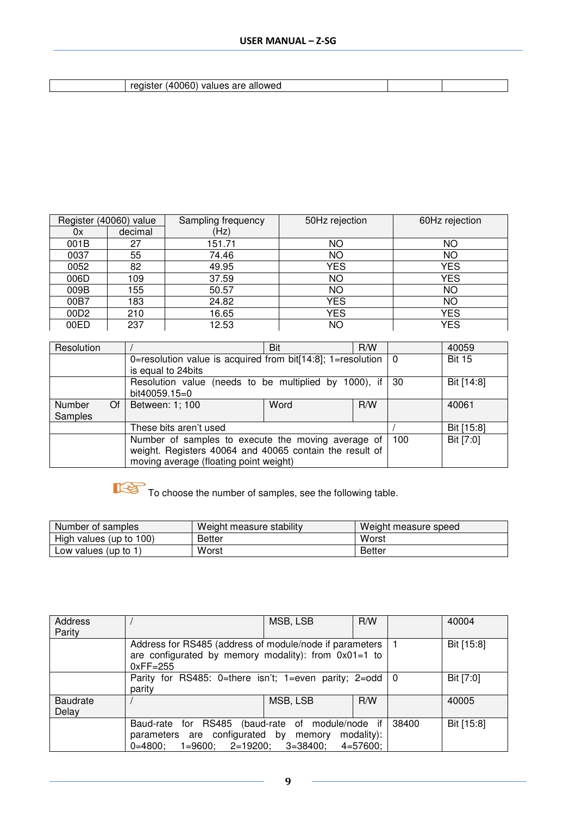| register (40060) values are allowed |  |
|-------------------------------------|--|

| Register (40060) value |         | Sampling frequency | 50Hz rejection | 60Hz rejection |
|------------------------|---------|--------------------|----------------|----------------|
| 0x                     | decimal | (Hz)               |                |                |
| 001B                   | 27      | 151.71             | <b>NO</b>      | ΝO             |
| 0037                   | 55      | 74.46              | <b>NO</b>      | ΝO             |
| 0052                   | 82      | 49.95              | <b>YES</b>     | <b>YES</b>     |
| 006D                   | 109     | 37.59              | <b>NO</b>      | <b>YES</b>     |
| 009B                   | 155     | 50.57              | ΝO             | ΝO             |
| 00B7                   | 183     | 24.82              | <b>YES</b>     | ΝO             |
| 00D <sub>2</sub>       | 210     | 16.65              | YES            | YES            |
| 00ED                   | 237     | 12.53              | ΝO             | <b>YES</b>     |

| Resolution          |                                                                       | Bit  | R/W        |            | 40059         |
|---------------------|-----------------------------------------------------------------------|------|------------|------------|---------------|
|                     | 0=resolution value is acquired from bit[14:8]; 1=resolution $\vert$ 0 |      |            |            | <b>Bit 15</b> |
|                     | is equal to 24bits                                                    |      |            |            |               |
|                     | Resolution value (needs to be multiplied by 1000), if   30            |      |            | Bit [14:8] |               |
|                     | bit40059.15=0                                                         |      |            |            |               |
| <b>Number</b><br>Of | Between: 1; 100                                                       | Word | R/W        |            | 40061         |
| Samples             |                                                                       |      |            |            |               |
|                     | These bits aren't used                                                |      | Bit [15:8] |            |               |
|                     | Number of samples to execute the moving average of                    |      |            | 100        | Bit [7:0]     |
|                     | weight. Registers 40064 and 40065 contain the result of               |      |            |            |               |
|                     | moving average (floating point weight)                                |      |            |            |               |

To choose the number of samples, see the following table.

| Number of samples       | Weight measure stability | Weight measure speed |  |
|-------------------------|--------------------------|----------------------|--|
| High values (up to 100) | <b>Better</b>            | Worst                |  |
| Low values (up to 1)    | Worst                    | <b>Better</b>        |  |

| <b>Address</b><br>Parity |                                                                                                                                   | MSB, LSB | R/W        |  | 40004      |
|--------------------------|-----------------------------------------------------------------------------------------------------------------------------------|----------|------------|--|------------|
|                          | Address for RS485 (address of module/node if parameters  <br>are configurated by memory modality): from $0x01=1$ to<br>$0xFF=255$ |          |            |  | Bit [15:8] |
|                          | Parity for RS485: 0=there isn't; 1=even parity; 2=odd $\vert$ 0<br>parity                                                         |          |            |  | Bit [7:0]  |
| <b>Baudrate</b><br>Delay |                                                                                                                                   | MSB, LSB | R/W        |  | 40005      |
|                          | Baud-rate for RS485 (baud-rate of module/node if<br>parameters are configurated by memory<br>$0=4800;$ 1=9600; 2=19200;           | 38400    | Bit [15:8] |  |            |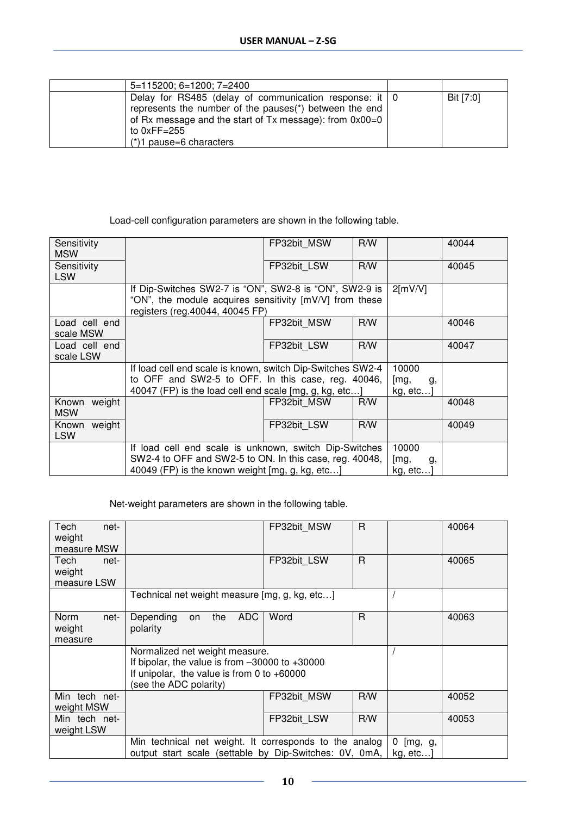| 5=115200; 6=1200; 7=2400                                                                                                                                                                                                              |           |
|---------------------------------------------------------------------------------------------------------------------------------------------------------------------------------------------------------------------------------------|-----------|
| Delay for RS485 (delay of communication response: it $\vert$ 0<br>represents the number of the pauses(*) between the end<br>of Rx message and the start of $Tx$ message): from $0x00=0$<br>to $0xFF=255$<br>$(*)1$ pause=6 characters | Bit [7:0] |

### Load-cell configuration parameters are shown in the following table.

| Sensitivity<br><b>MSW</b>     |                                                                                                                                                                            | FP32bit MSW                      | R/W |                                 | 40044 |
|-------------------------------|----------------------------------------------------------------------------------------------------------------------------------------------------------------------------|----------------------------------|-----|---------------------------------|-------|
| Sensitivity<br><b>LSW</b>     |                                                                                                                                                                            | FP32bit LSW                      | R/W |                                 | 40045 |
|                               | If Dip-Switches SW2-7 is "ON", SW2-8 is "ON", SW2-9 is<br>"ON", the module acquires sensitivity [mV/V] from these<br>registers (reg.40044, 40045 FP)                       |                                  |     | $2$ [mV/V]                      |       |
| Load cell end<br>scale MSW    |                                                                                                                                                                            | FP32bit MSW                      | R/W |                                 | 40046 |
| Load cell end<br>scale LSW    |                                                                                                                                                                            | FP32bit LSW                      | R/W |                                 | 40047 |
|                               | If load cell end scale is known, switch Dip-Switches SW2-4<br>to OFF and SW2-5 to OFF. In this case, reg. 40046,<br>40047 (FP) is the load cell end scale [mg, g, kg, etc] | 10000<br>[mg,<br>g,<br>kg, etc…] |     |                                 |       |
| weight<br>Known<br><b>MSW</b> |                                                                                                                                                                            | FP32bit MSW                      | R/W |                                 | 40048 |
| weight<br>Known<br><b>LSW</b> |                                                                                                                                                                            | FP32bit LSW                      | R/W |                                 | 40049 |
|                               | If load cell end scale is unknown, switch Dip-Switches<br>SW2-4 to OFF and SW2-5 to ON. In this case, reg. 40048,<br>40049 (FP) is the known weight [mg, g, kg, etc]       |                                  |     | 10000<br>[mg,<br>g,<br>kg, etc] |       |

Net-weight parameters are shown in the following table.

| Tech<br>net-<br>weight<br>measure MSW |                                                                                                                                                                | FP32bit MSW | R   |                          | 40064 |
|---------------------------------------|----------------------------------------------------------------------------------------------------------------------------------------------------------------|-------------|-----|--------------------------|-------|
| Tech<br>net-<br>weight<br>measure LSW |                                                                                                                                                                | FP32bit LSW | R.  |                          | 40065 |
|                                       | Technical net weight measure [mg, g, kg, etc]                                                                                                                  |             |     |                          |       |
| Norm<br>net-<br>weight<br>measure     | <b>ADC</b><br>Depending<br>the<br>on<br>polarity                                                                                                               | Word        | R.  |                          | 40063 |
|                                       | Normalized net weight measure.<br>If bipolar, the value is from $-30000$ to $+30000$<br>If unipolar, the value is from 0 to $+60000$<br>(see the ADC polarity) |             |     |                          |       |
| Min tech net-<br>weight MSW           |                                                                                                                                                                | FP32bit MSW | R/W |                          | 40052 |
| Min tech net-<br>weight LSW           |                                                                                                                                                                | FP32bit LSW | R/W |                          | 40053 |
|                                       | Min technical net weight. It corresponds to the analog<br>output start scale (settable by Dip-Switches: 0V, 0mA,                                               |             |     | 0<br>[mg, g,<br>kg, etc] |       |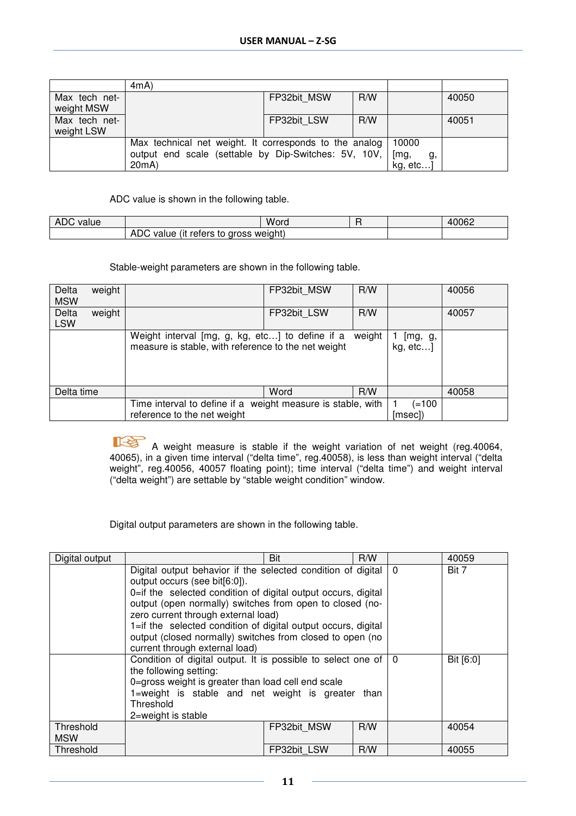|                             | 4mA                                                                                                                     |             |     |                                |       |
|-----------------------------|-------------------------------------------------------------------------------------------------------------------------|-------------|-----|--------------------------------|-------|
| Max tech net-<br>weight MSW |                                                                                                                         | FP32bit MSW | R/W |                                | 40050 |
| Max tech net-<br>weight LSW |                                                                                                                         | FP32bit LSW | R/W |                                | 40051 |
|                             | Max technical net weight. It corresponds to the analog<br>output end scale (settable by Dip-Switches: 5V, 10V,<br>20mA) |             |     | 10000<br>[mg,<br>g,<br>kg, etc |       |

#### ADC value is shown in the following table.

| ADC<br>value |                                          | Word |  | 40062 |
|--------------|------------------------------------------|------|--|-------|
|              | ADC<br>value (it reters to gross weight) |      |  |       |

### Stable-weight parameters are shown in the following table.

| Delta<br><b>MSW</b> | weight |                                                                                                                  | FP32bit MSW | R/W                |       | 40056 |
|---------------------|--------|------------------------------------------------------------------------------------------------------------------|-------------|--------------------|-------|-------|
| Delta<br><b>LSW</b> | weight |                                                                                                                  | FP32bit LSW | R/W                |       | 40057 |
|                     |        | Weight interval [mg, g, kg, etc] to define if a<br>weight<br>measure is stable, with reference to the net weight |             | [mg, g,<br>kg, etc |       |       |
| Delta time          |        |                                                                                                                  | Word        | R/W                |       | 40058 |
|                     |        | Time interval to define if a weight measure is stable, with                                                      |             |                    | (=100 |       |
|                     |        | reference to the net weight                                                                                      |             | [msec])            |       |       |

 A weight measure is stable if the weight variation of net weight (reg.40064, 40065), in a given time interval ("delta time", reg.40058), is less than weight interval ("delta weight", reg.40056, 40057 floating point); time interval ("delta time") and weight interval ("delta weight") are settable by "stable weight condition" window.

Digital output parameters are shown in the following table.

| Digital output |                                                                        | Bit         | R/W      |       | 40059     |
|----------------|------------------------------------------------------------------------|-------------|----------|-------|-----------|
|                | Digital output behavior if the selected condition of digital           |             | $\Omega$ | Bit 7 |           |
|                | output occurs (see bit[6:0]).                                          |             |          |       |           |
|                | 0=if the selected condition of digital output occurs, digital          |             |          |       |           |
|                | output (open normally) switches from open to closed (no-               |             |          |       |           |
|                | zero current through external load)                                    |             |          |       |           |
|                | 1=if the selected condition of digital output occurs, digital          |             |          |       |           |
|                | output (closed normally) switches from closed to open (no              |             |          |       |           |
|                | current through external load)                                         |             |          |       |           |
|                | Condition of digital output. It is possible to select one of $\vert$ 0 |             |          |       | Bit [6:0] |
|                | the following setting:                                                 |             |          |       |           |
|                | 0=gross weight is greater than load cell end scale                     |             |          |       |           |
|                | 1=weight is stable and net weight is greater than                      |             |          |       |           |
|                | Threshold                                                              |             |          |       |           |
|                | 2=weight is stable                                                     |             |          |       |           |
| Threshold      |                                                                        | FP32bit MSW | R/W      |       | 40054     |
| <b>MSW</b>     |                                                                        |             |          |       |           |
| Threshold      |                                                                        | FP32bit LSW | R/W      |       | 40055     |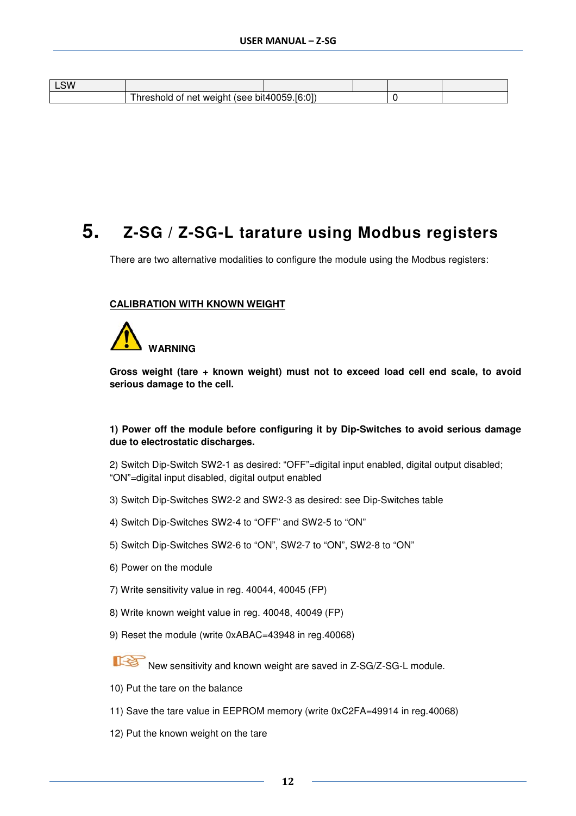| ∟SW |                                        |                                           |  |  |
|-----|----------------------------------------|-------------------------------------------|--|--|
|     | .<br>weigh.<br>(see<br>nei<br>ΩL<br>∈π | (6:0)<br>bit400.<br>$\tilde{\phantom{a}}$ |  |  |

### **5. Z-SG / Z-SG-L tarature using Modbus registers**

There are two alternative modalities to configure the module using the Modbus registers:

#### **CALIBRATION WITH KNOWN WEIGHT**



**Gross weight (tare + known weight) must not to exceed load cell end scale, to avoid serious damage to the cell.** 

#### **1) Power off the module before configuring it by Dip-Switches to avoid serious damage due to electrostatic discharges.**

2) Switch Dip-Switch SW2-1 as desired: "OFF"=digital input enabled, digital output disabled; "ON"=digital input disabled, digital output enabled

- 3) Switch Dip-Switches SW2-2 and SW2-3 as desired: see Dip-Switches table
- 4) Switch Dip-Switches SW2-4 to "OFF" and SW2-5 to "ON"
- 5) Switch Dip-Switches SW2-6 to "ON", SW2-7 to "ON", SW2-8 to "ON"
- 6) Power on the module
- 7) Write sensitivity value in reg. 40044, 40045 (FP)
- 8) Write known weight value in reg. 40048, 40049 (FP)
- 9) Reset the module (write 0xABAC=43948 in reg.40068)

New sensitivity and known weight are saved in Z-SG/Z-SG-L module.

- 10) Put the tare on the balance
- 11) Save the tare value in EEPROM memory (write 0xC2FA=49914 in reg.40068)
- 12) Put the known weight on the tare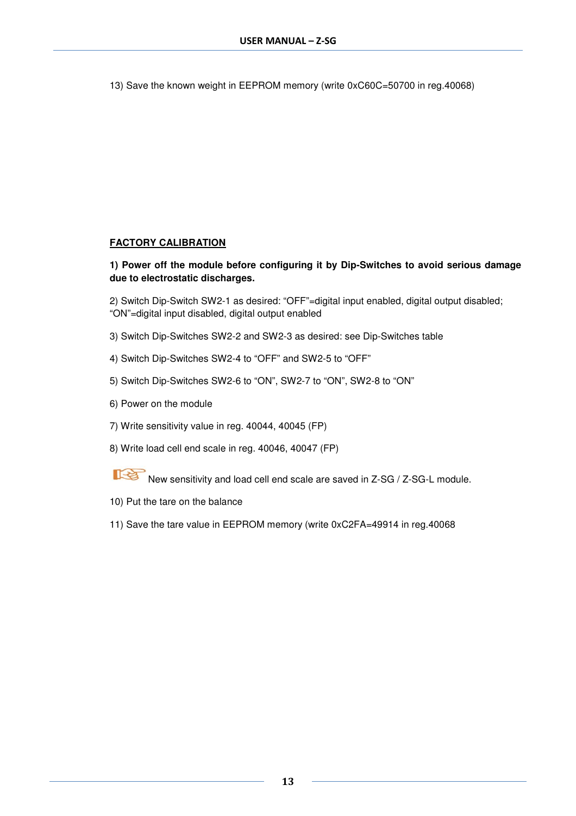13) Save the known weight in EEPROM memory (write 0xC60C=50700 in reg.40068)

### **FACTORY CALIBRATION**

### **1) Power off the module before configuring it by Dip-Switches to avoid serious damage due to electrostatic discharges.**

2) Switch Dip-Switch SW2-1 as desired: "OFF"=digital input enabled, digital output disabled; "ON"=digital input disabled, digital output enabled

- 3) Switch Dip-Switches SW2-2 and SW2-3 as desired: see Dip-Switches table
- 4) Switch Dip-Switches SW2-4 to "OFF" and SW2-5 to "OFF"
- 5) Switch Dip-Switches SW2-6 to "ON", SW2-7 to "ON", SW2-8 to "ON"
- 6) Power on the module
- 7) Write sensitivity value in reg. 40044, 40045 (FP)
- 8) Write load cell end scale in reg. 40046, 40047 (FP)
- 下径 New sensitivity and load cell end scale are saved in Z-SG / Z-SG-L module.
- 10) Put the tare on the balance
- 11) Save the tare value in EEPROM memory (write 0xC2FA=49914 in reg.40068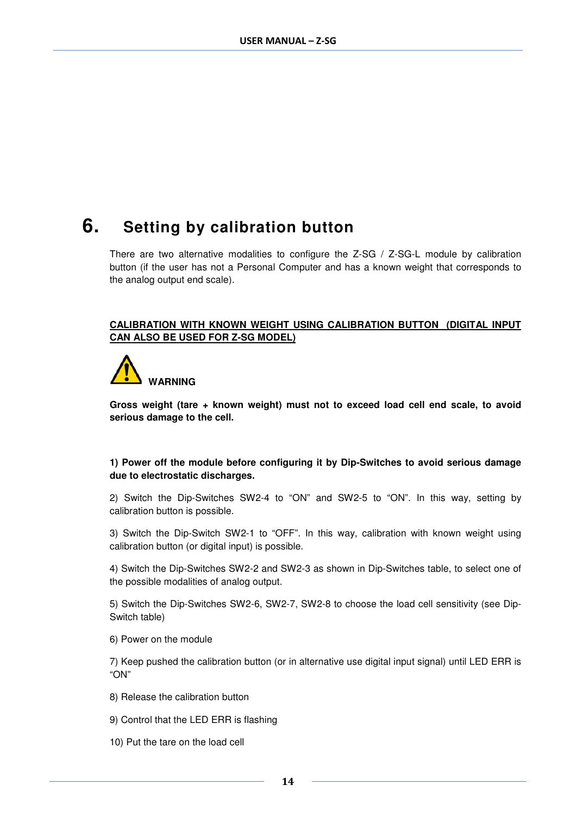### **6. Setting by calibration button**

There are two alternative modalities to configure the Z-SG / Z-SG-L module by calibration button (if the user has not a Personal Computer and has a known weight that corresponds to the analog output end scale).

### **CALIBRATION WITH KNOWN WEIGHT USING CALIBRATION BUTTON (DIGITAL INPUT CAN ALSO BE USED FOR Z-SG MODEL)**



**Gross weight (tare + known weight) must not to exceed load cell end scale, to avoid serious damage to the cell.** 

### **1) Power off the module before configuring it by Dip-Switches to avoid serious damage due to electrostatic discharges.**

2) Switch the Dip-Switches SW2-4 to "ON" and SW2-5 to "ON". In this way, setting by calibration button is possible.

3) Switch the Dip-Switch SW2-1 to "OFF". In this way, calibration with known weight using calibration button (or digital input) is possible.

4) Switch the Dip-Switches SW2-2 and SW2-3 as shown in Dip-Switches table, to select one of the possible modalities of analog output.

5) Switch the Dip-Switches SW2-6, SW2-7, SW2-8 to choose the load cell sensitivity (see Dip-Switch table)

6) Power on the module

7) Keep pushed the calibration button (or in alternative use digital input signal) until LED ERR is "ON"

- 8) Release the calibration button
- 9) Control that the LED ERR is flashing
- 10) Put the tare on the load cell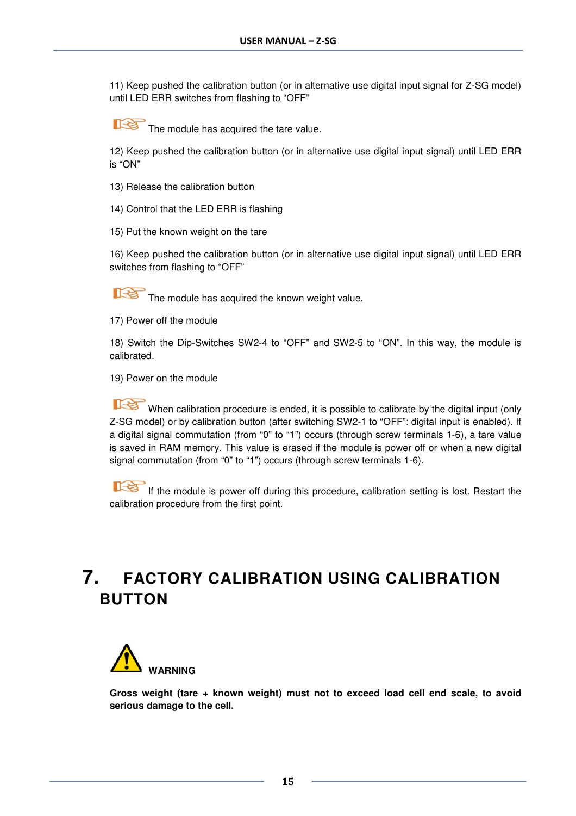11) Keep pushed the calibration button (or in alternative use digital input signal for Z-SG model) until LED ERR switches from flashing to "OFF"

The module has acquired the tare value.

12) Keep pushed the calibration button (or in alternative use digital input signal) until LED ERR is "ON"

- 13) Release the calibration button
- 14) Control that the LED ERR is flashing
- 15) Put the known weight on the tare

16) Keep pushed the calibration button (or in alternative use digital input signal) until LED ERR switches from flashing to "OFF"

哈 The module has acquired the known weight value.

17) Power off the module

18) Switch the Dip-Switches SW2-4 to "OFF" and SW2-5 to "ON". In this way, the module is calibrated.

19) Power on the module

When calibration procedure is ended, it is possible to calibrate by the digital input (only Z-SG model) or by calibration button (after switching SW2-1 to "OFF": digital input is enabled). If a digital signal commutation (from "0" to "1") occurs (through screw terminals 1-6), a tare value is saved in RAM memory. This value is erased if the module is power off or when a new digital signal commutation (from "0" to "1") occurs (through screw terminals 1-6).

If the module is power off during this procedure, calibration setting is lost. Restart the calibration procedure from the first point.

### **7. FACTORY CALIBRATION USING CALIBRATION BUTTON**



**Gross weight (tare + known weight) must not to exceed load cell end scale, to avoid serious damage to the cell.**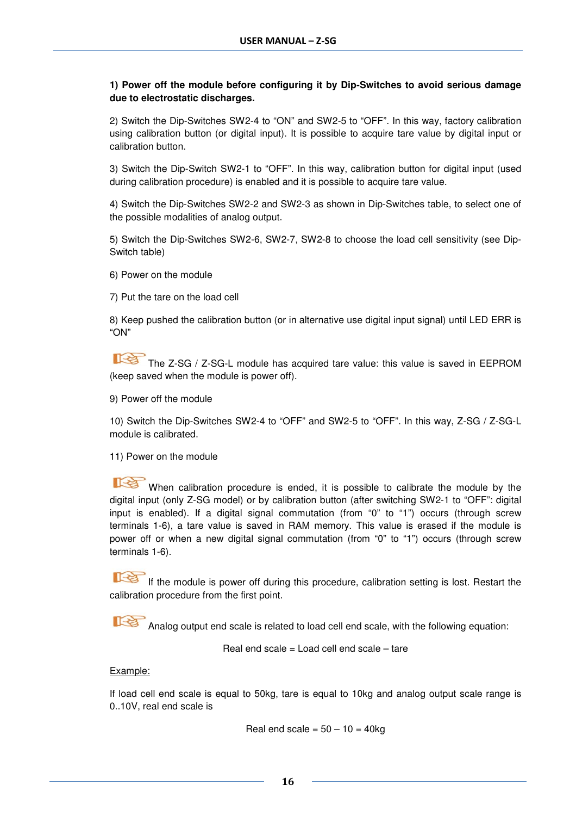### **1) Power off the module before configuring it by Dip-Switches to avoid serious damage due to electrostatic discharges.**

2) Switch the Dip-Switches SW2-4 to "ON" and SW2-5 to "OFF". In this way, factory calibration using calibration button (or digital input). It is possible to acquire tare value by digital input or calibration button.

3) Switch the Dip-Switch SW2-1 to "OFF". In this way, calibration button for digital input (used during calibration procedure) is enabled and it is possible to acquire tare value.

4) Switch the Dip-Switches SW2-2 and SW2-3 as shown in Dip-Switches table, to select one of the possible modalities of analog output.

5) Switch the Dip-Switches SW2-6, SW2-7, SW2-8 to choose the load cell sensitivity (see Dip-Switch table)

6) Power on the module

7) Put the tare on the load cell

8) Keep pushed the calibration button (or in alternative use digital input signal) until LED ERR is "ON"

The Z-SG / Z-SG-L module has acquired tare value: this value is saved in EEPROM (keep saved when the module is power off).

9) Power off the module

10) Switch the Dip-Switches SW2-4 to "OFF" and SW2-5 to "OFF". In this way, Z-SG / Z-SG-L module is calibrated.

11) Power on the module

When calibration procedure is ended, it is possible to calibrate the module by the digital input (only Z-SG model) or by calibration button (after switching SW2-1 to "OFF": digital input is enabled). If a digital signal commutation (from "0" to "1") occurs (through screw terminals 1-6), a tare value is saved in RAM memory. This value is erased if the module is power off or when a new digital signal commutation (from "0" to "1") occurs (through screw terminals 1-6).

If the module is power off during this procedure, calibration setting is lost. Restart the calibration procedure from the first point.

Analog output end scale is related to load cell end scale, with the following equation:

Real end scale = Load cell end scale – tare

#### Example:

If load cell end scale is equal to 50kg, tare is equal to 10kg and analog output scale range is 0..10V, real end scale is

Real end scale =  $50 - 10 = 40$ kg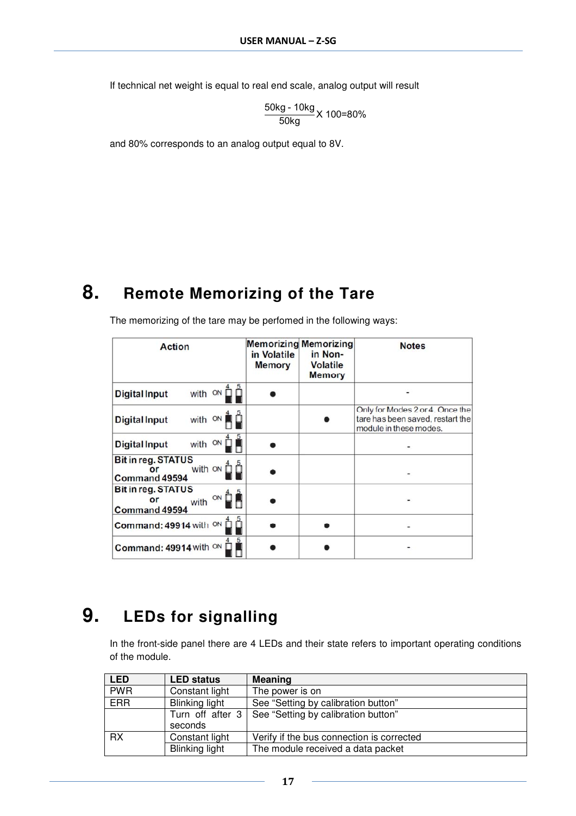If technical net weight is equal to real end scale, analog output will result

50kg - 10kg<br>50kg X 100=80%

and 80% corresponds to an analog output equal to 8V.

### **8. Remote Memorizing of the Tare**

| <b>Action</b>                                                                                                       | in Volatile<br><b>Memory</b> | <b>Memorizing Memorizing</b><br>in Non-<br><b>Volatile</b><br><b>Memory</b> | <b>Notes</b>                                                                                  |
|---------------------------------------------------------------------------------------------------------------------|------------------------------|-----------------------------------------------------------------------------|-----------------------------------------------------------------------------------------------|
| ON [<br>with<br><b>Digital Input</b>                                                                                |                              |                                                                             |                                                                                               |
| with ON<br><b>Digital Input</b>                                                                                     |                              |                                                                             | Only for Modes 2 or 4. Once the<br>tare has been saved, restart the<br>module in these modes. |
| with ON<br><b>Digital Input</b>                                                                                     |                              |                                                                             |                                                                                               |
| <b>Bit in reg. STATUS</b><br>with ON<br>or<br>Command 49594                                                         |                              |                                                                             |                                                                                               |
| <b>Bit in reg. STATUS</b><br>with $\circ \wedge \overset{4}{\Box} \overset{5}{\blacksquare}$<br>or<br>Command 49594 |                              |                                                                             |                                                                                               |
| Command: 49914 with ON                                                                                              |                              |                                                                             |                                                                                               |
| Command: 49914 with ON                                                                                              |                              |                                                                             |                                                                                               |

The memorizing of the tare may be perfomed in the following ways:

## **9. LEDs for signalling**

In the front-side panel there are 4 LEDs and their state refers to important operating conditions of the module.

| <b>LED</b> | <b>LED status</b>     | <b>Meaning</b>                                         |  |
|------------|-----------------------|--------------------------------------------------------|--|
| <b>PWR</b> | Constant light        | The power is on                                        |  |
| <b>ERR</b> | Blinking light        | See "Setting by calibration button"                    |  |
|            |                       | Turn off after 3   See "Setting by calibration button" |  |
|            | seconds               |                                                        |  |
| <b>RX</b>  | Constant light        | Verify if the bus connection is corrected              |  |
|            | <b>Blinking light</b> | The module received a data packet                      |  |